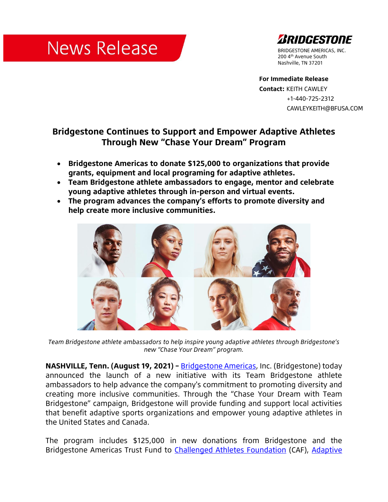## **News Release**



BRIDGESTONE AMERICAS, INC. 200 4<sup>th</sup> Avenue South Nashville, TN 37201

**For Immediate Release Contact:** KEITH CAWLEY +1-440-725-2312 CAWLEYKEITH@BFUSA.COM

## **Bridgestone Continues to Support and Empower Adaptive Athletes Through New "Chase Your Dream" Program**

- **Bridgestone Americas to donate \$125,000 to organizations that provide grants, equipment and local programing for adaptive athletes.**
- **Team Bridgestone athlete ambassadors to engage, mentor and celebrate young adaptive athletes through in-person and virtual events.**
- **The program advances the company's efforts to promote diversity and help create more inclusive communities.**



*Team Bridgestone athlete ambassadors to help inspire young adaptive athletes through Bridgestone's new "Chase Your Dream" program.*

**NASHVILLE, Tenn. (August 19, 2021) - [Bridgestone Americas,](http://www.bridgestoneamericas.com/) Inc. (Bridgestone) today** announced the launch of a new initiative with its Team Bridgestone athlete ambassadors to help advance the company's commitment to promoting diversity and creating more inclusive communities. Through the "Chase Your Dream with Team Bridgestone" campaign, Bridgestone will provide funding and support local activities that benefit adaptive sports organizations and empower young adaptive athletes in the United States and Canada.

The program includes \$125,000 in new donations from Bridgestone and the Bridgestone Americas Trust Fund to [Challenged Athletes Foundation](https://www.challengedathletes.org/) (CAF), [Adaptive](http://adaptivesportsohio.org/)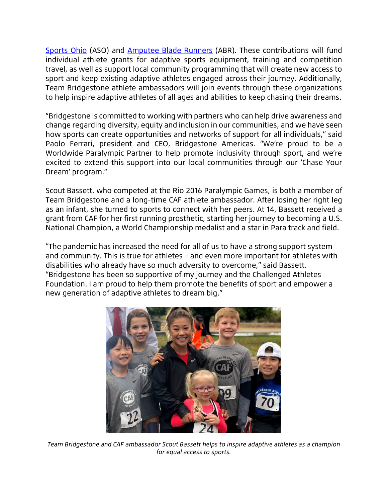[Sports Ohio](http://adaptivesportsohio.org/) (ASO) and [Amputee Blade Runners](https://amputeebladerunners.com/) (ABR). These contributions will fund individual athlete grants for adaptive sports equipment, training and competition travel, as well as support local community programming that will create new access to sport and keep existing adaptive athletes engaged across their journey. Additionally, Team Bridgestone athlete ambassadors will join events through these organizations to help inspire adaptive athletes of all ages and abilities to keep chasing their dreams.

"Bridgestone is committed to working with partners who can help drive awareness and change regarding diversity, equity and inclusion in our communities, and we have seen how sports can create opportunities and networks of support for all individuals," said Paolo Ferrari, president and CEO, Bridgestone Americas. "We're proud to be a Worldwide Paralympic Partner to help promote inclusivity through sport, and we're excited to extend this support into our local communities through our 'Chase Your Dream' program."

Scout Bassett, who competed at the Rio 2016 Paralympic Games, is both a member of Team Bridgestone and a long-time CAF athlete ambassador. After losing her right leg as an infant, she turned to sports to connect with her peers. At 14, Bassett received a grant from CAF for her first running prosthetic, starting her journey to becoming a U.S. National Champion, a World Championship medalist and a star in Para track and field.

"The pandemic has increased the need for all of us to have a strong support system and community. This is true for athletes – and even more important for athletes with disabilities who already have so much adversity to overcome," said Bassett. "Bridgestone has been so supportive of my journey and the Challenged Athletes Foundation. I am proud to help them promote the benefits of sport and empower a new generation of adaptive athletes to dream big."



*Team Bridgestone and CAF ambassador Scout Bassett helps to inspire adaptive athletes as a champion for equal access to sports.*